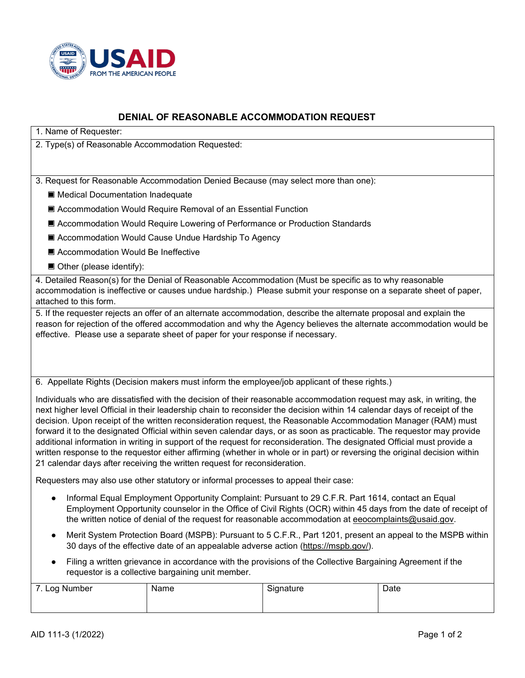

## **DENIAL OF REASONABLE ACCOMMODATION REQUEST**

1. Name of Requester:

2. Type(s) of Reasonable Accommodation Requested:

3. Request for Reasonable Accommodation Denied Because (may select more than one):

- Medical Documentation Inadequate
- Accommodation Would Require Removal of an Essential Function
- **Accommodation Would Require Lowering of Performance or Production Standards**
- Accommodation Would Cause Undue Hardship To Agency
- Accommodation Would Be Ineffective
- Other (please identify):

4. Detailed Reason(s) for the Denial of Reasonable Accommodation (Must be specific as to why reasonable accommodation is ineffective or causes undue hardship.) Please submit your response on a separate sheet of paper, attached to this form.

5. If the requester rejects an offer of an alternate accommodation, describe the alternate proposal and explain the reason for rejection of the offered accommodation and why the Agency believes the alternate accommodation would be effective. Please use a separate sheet of paper for your response if necessary.

6. Appellate Rights (Decision makers must inform the employee/job applicant of these rights.)

Individuals who are dissatisfied with the decision of their reasonable accommodation request may ask, in writing, the next higher level Official in their leadership chain to reconsider the decision within 14 calendar days of receipt of the decision. Upon receipt of the written reconsideration request, the Reasonable Accommodation Manager (RAM) must forward it to the designated Official within seven calendar days, or as soon as practicable. The requestor may provide additional information in writing in support of the request for reconsideration. The designated Official must provide a written response to the requestor either affirming (whether in whole or in part) or reversing the original decision within 21 calendar days after receiving the written request for reconsideration.

Requesters may also use other statutory or informal processes to appeal their case:

- Informal Equal Employment Opportunity Complaint: Pursuant to 29 C.F.R. Part 1614, contact an Equal Employment Opportunity counselor in the Office of Civil Rights (OCR) within 45 days from the date of receipt of the written notice of denial of the request for reasonable accommodation at [eeocomplaints@usaid.gov.](mailto:eeocomplaints@usaid.gov)
- Merit System Protection Board (MSPB): Pursuant to 5 C.F.R., Part 1201, present an appeal to the MSPB within 30 days of the effective date of an appealable adverse action [\(https://mspb.gov/\)](https://mspb.gov/).
- Filing a written grievance in accordance with the provisions of the Collective Bargaining Agreement if the requestor is a collective bargaining unit member.

| -<br>Log Number | Name | $\sim$<br>ignatureد | Date |
|-----------------|------|---------------------|------|
|                 |      |                     |      |